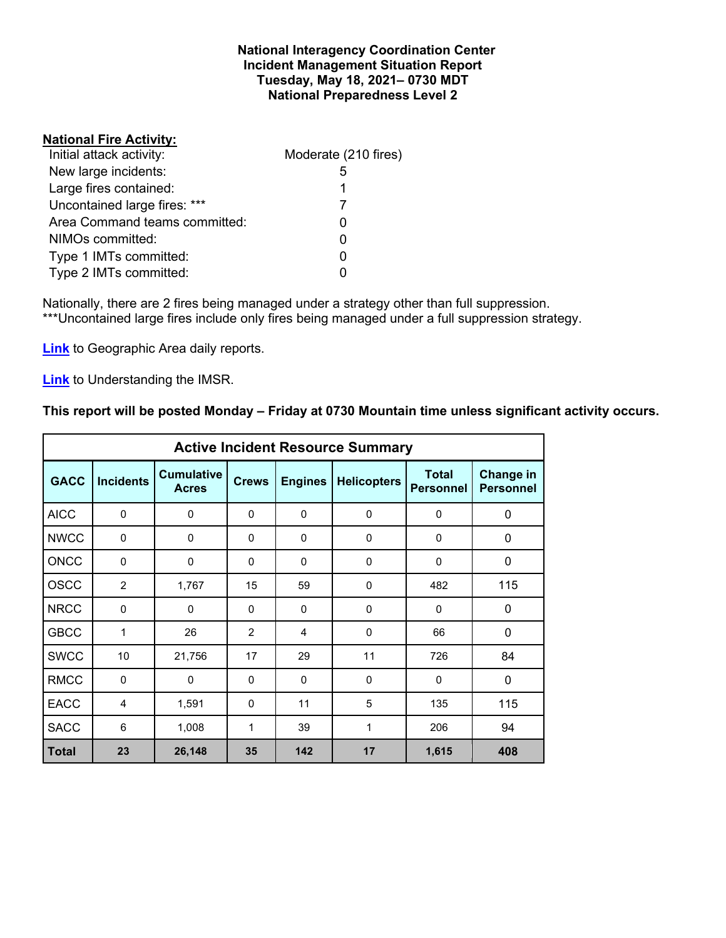### **National Interagency Coordination Center Incident Management Situation Report Tuesday, May 18, 2021– 0730 MDT National Preparedness Level 2**

## **National Fire Activity:**

| Initial attack activity:      | Moderate (210 fires) |
|-------------------------------|----------------------|
| New large incidents:          | 5                    |
| Large fires contained:        | 1                    |
| Uncontained large fires: ***  |                      |
| Area Command teams committed: |                      |
| NIMOs committed:              | 0                    |
| Type 1 IMTs committed:        | 0                    |
| Type 2 IMTs committed:        |                      |

Nationally, there are 2 fires being managed under a strategy other than full suppression. \*\*\*Uncontained large fires include only fires being managed under a full suppression strategy.

**[Link](http://www.nifc.gov/nicc/predictive/statelinks.htm)** to Geographic Area daily reports.

**[Link](https://www.predictiveservices.nifc.gov/intelligence/Understanding%20the%20IMSR%202019.pdf)** to Understanding the IMSR.

## **This report will be posted Monday – Friday at 0730 Mountain time unless significant activity occurs.**

|              | <b>Active Incident Resource Summary</b> |                                   |              |                |                    |                                  |                               |  |  |  |  |  |  |  |
|--------------|-----------------------------------------|-----------------------------------|--------------|----------------|--------------------|----------------------------------|-------------------------------|--|--|--|--|--|--|--|
| <b>GACC</b>  | <b>Incidents</b>                        | <b>Cumulative</b><br><b>Acres</b> | <b>Crews</b> | <b>Engines</b> | <b>Helicopters</b> | <b>Total</b><br><b>Personnel</b> | Change in<br><b>Personnel</b> |  |  |  |  |  |  |  |
| <b>AICC</b>  | $\mathbf 0$                             | 0                                 | 0            | $\Omega$       | 0                  | 0                                | $\mathbf 0$                   |  |  |  |  |  |  |  |
| <b>NWCC</b>  | 0                                       | 0                                 | 0            | 0              | 0                  | 0                                | 0                             |  |  |  |  |  |  |  |
| <b>ONCC</b>  | $\Omega$                                | 0                                 | $\Omega$     | $\Omega$       | $\Omega$           | $\mathbf{0}$                     | $\mathbf 0$                   |  |  |  |  |  |  |  |
| <b>OSCC</b>  | 2                                       | 1,767                             | 15           | 59             | $\mathbf 0$        | 482                              | 115                           |  |  |  |  |  |  |  |
| <b>NRCC</b>  | 0                                       | 0                                 | $\Omega$     | $\Omega$       | $\Omega$           | $\Omega$                         | 0                             |  |  |  |  |  |  |  |
| <b>GBCC</b>  | 1                                       | 26                                | 2            | 4              | $\Omega$           | 66                               | $\mathbf 0$                   |  |  |  |  |  |  |  |
| <b>SWCC</b>  | 10                                      | 21,756                            | 17           | 29             | 11                 | 726                              | 84                            |  |  |  |  |  |  |  |
| <b>RMCC</b>  | $\Omega$                                | $\Omega$                          | $\Omega$     | $\Omega$       | $\Omega$           | $\Omega$                         | $\mathbf 0$                   |  |  |  |  |  |  |  |
| <b>EACC</b>  | $\overline{4}$                          | 1,591                             | 0            | 11             | 5                  | 135                              | 115                           |  |  |  |  |  |  |  |
| <b>SACC</b>  | 6                                       | 1,008                             | $\mathbf{1}$ | 39             | 1                  | 206                              | 94                            |  |  |  |  |  |  |  |
| <b>Total</b> | 23                                      | 26,148                            | 35           | 142            | 17                 | 1,615                            | 408                           |  |  |  |  |  |  |  |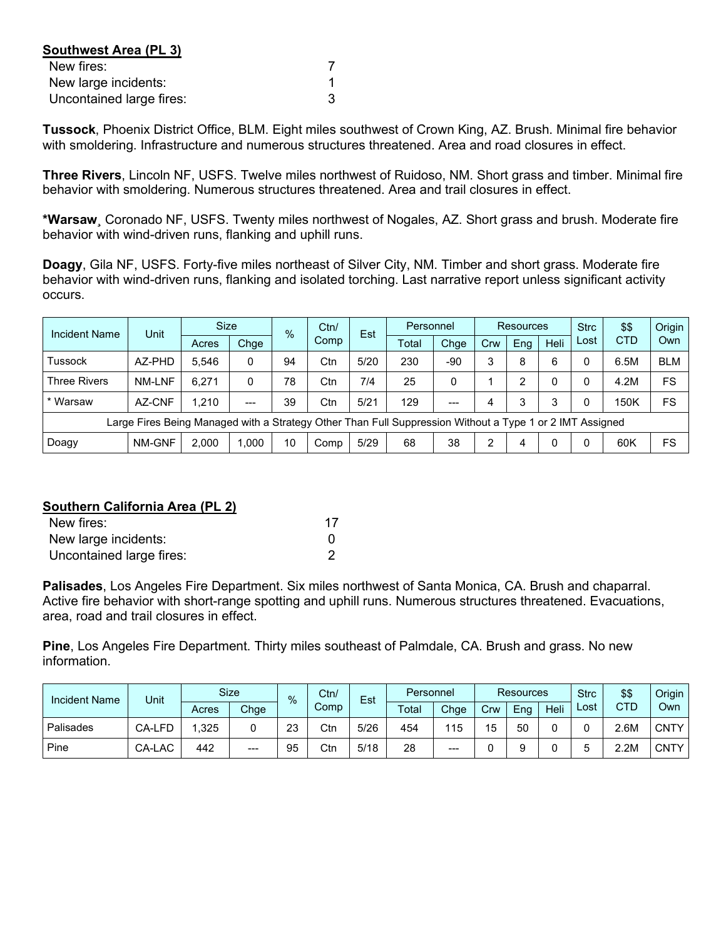| Southwest Area (PL 3)    |  |
|--------------------------|--|
| New fires:               |  |
| New large incidents:     |  |
| Uncontained large fires: |  |

**Tussock**, Phoenix District Office, BLM. Eight miles southwest of Crown King, AZ. Brush. Minimal fire behavior with smoldering. Infrastructure and numerous structures threatened. Area and road closures in effect.

**Three Rivers**, Lincoln NF, USFS. Twelve miles northwest of Ruidoso, NM. Short grass and timber. Minimal fire behavior with smoldering. Numerous structures threatened. Area and trail closures in effect.

**\*Warsaw**¸ Coronado NF, USFS. Twenty miles northwest of Nogales, AZ. Short grass and brush. Moderate fire behavior with wind-driven runs, flanking and uphill runs.

**Doagy**, Gila NF, USFS. Forty-five miles northeast of Silver City, NM. Timber and short grass. Moderate fire behavior with wind-driven runs, flanking and isolated torching. Last narrative report unless significant activity occurs.

| Incident Name                                                                                            | Unit   | <b>Size</b> |       | $\frac{0}{6}$ |      | Est  | Personnel |       | <b>Resources</b> |     |      | <b>Strc</b> | \$\$       | Origin     |
|----------------------------------------------------------------------------------------------------------|--------|-------------|-------|---------------|------|------|-----------|-------|------------------|-----|------|-------------|------------|------------|
|                                                                                                          |        | Acres       | Chge  |               | Comp |      | Total     | Chge  | Crw              | Eng | Heli | Lost        | <b>CTD</b> | Own        |
| Tussock                                                                                                  | AZ-PHD | 5.546       | 0     | 94            | Ctn  | 5/20 | 230       | -90   | 3                | 8   | 6    |             | 6.5M       | <b>BLM</b> |
| <b>Three Rivers</b>                                                                                      | NM-LNF | 6.271       | 0     | 78            | Ctn  | 7/4  | 25        | 0     |                  | っ   | 0    |             | 4.2M       | FS         |
| * Warsaw                                                                                                 | AZ-CNF | 1.210       | $---$ | 39            | Ctn  | 5/21 | 129       | $---$ | 4                | 3   | 3    |             | 150K       | FS         |
| Large Fires Being Managed with a Strategy Other Than Full Suppression Without a Type 1 or 2 IMT Assigned |        |             |       |               |      |      |           |       |                  |     |      |             |            |            |
| Doagy                                                                                                    | NM-GNF | 2.000       | .000  | 10            | Comp | 5/29 | 68        | 38    | ◠                | 4   | 0    |             | 60K        | FS         |

## **Southern California Area (PL 2)**

| New fires:               | 17 |
|--------------------------|----|
| New large incidents:     |    |
| Uncontained large fires: |    |

**Palisades**, Los Angeles Fire Department. Six miles northwest of Santa Monica, CA. Brush and chaparral. Active fire behavior with short-range spotting and uphill runs. Numerous structures threatened. Evacuations, area, road and trail closures in effect.

**Pine**, Los Angeles Fire Department. Thirty miles southeast of Palmdale, CA. Brush and grass. No new information.

| <b>Incident Name</b> | Unit   |       | <b>Size</b> | $\%$ | Ctn/ | Est  | Personnel |      | <b>Resources</b> |     |      | <b>Strc</b> | \$\$       | Origin      |
|----------------------|--------|-------|-------------|------|------|------|-----------|------|------------------|-----|------|-------------|------------|-------------|
|                      |        | Acres | Chge        |      | Comp |      | Total     | Chge | Crw              | Ena | Heli | ∟ost        | <b>CTD</b> | Own         |
| Palisades            | CA-LFD | .325  | 0           | 23   | Ctn  | 5/26 | 454       | 115  | 15               | 50  | 0    |             | 2.6M       | <b>CNTY</b> |
| Pine                 | CA-LAC | 442   | $---$       | 95   | Ctn  | 5/18 | 28        | ---  |                  |     |      |             | 2.2M       | <b>CNTY</b> |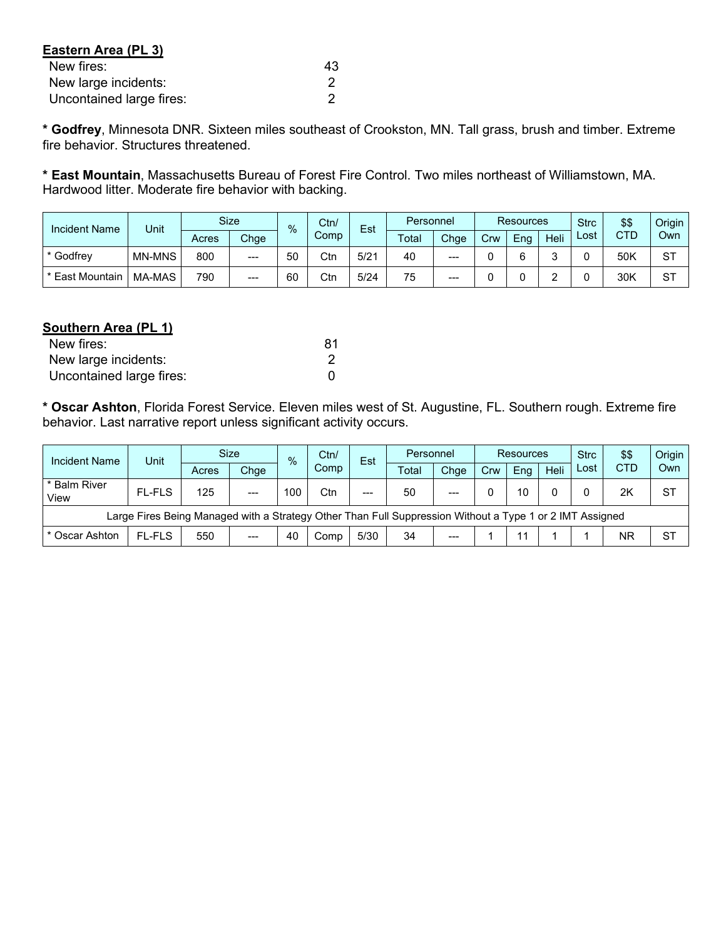| Eastern Area (PL 3)      |    |
|--------------------------|----|
| New fires:               | 43 |
| New large incidents:     |    |
| Uncontained large fires: |    |

**\* Godfrey**, Minnesota DNR. Sixteen miles southeast of Crookston, MN. Tall grass, brush and timber. Extreme fire behavior. Structures threatened.

**\* East Mountain**, Massachusetts Bureau of Forest Fire Control. Two miles northeast of Williamstown, MA. Hardwood litter. Moderate fire behavior with backing.

| <b>Incident Name</b> | Unit          |       | <b>Size</b> | $\frac{9}{6}$ | Ctn/ | Est  |       | Personnel |     | <b>Resources</b> |      |      | \$\$       | Origin |
|----------------------|---------------|-------|-------------|---------------|------|------|-------|-----------|-----|------------------|------|------|------------|--------|
|                      |               | Acres | Chge        |               | Comp |      | Total | Chge      | Crw | Eng              | Heli | Lost | <b>CTD</b> | Own    |
| * Godfrev            | <b>MN-MNS</b> | 800   | $---$       | 50            | Ctn  | 5/21 | 40    | ---       |     |                  | ◠    |      | 50K        | ST     |
| * East Mountain      | MA-MAS        | 790   | $---$       | 60            | Ctn  | 5/24 | 75    | $---$     |     |                  |      |      | 30K        | ST     |

# **Southern Area (PL 1)**

| New fires:               | 81 |
|--------------------------|----|
| New large incidents:     |    |
| Uncontained large fires: |    |

**\* Oscar Ashton**, Florida Forest Service. Eleven miles west of St. Augustine, FL. Southern rough. Extreme fire behavior. Last narrative report unless significant activity occurs.

| Incident Name                                                                                            | Unit          | Size  |       | Ctn/<br>$\%$ |      |       | Personnel<br>Est |       | <b>Resources</b> |     |      | <b>Strc</b> | \$\$       | Origin    |
|----------------------------------------------------------------------------------------------------------|---------------|-------|-------|--------------|------|-------|------------------|-------|------------------|-----|------|-------------|------------|-----------|
|                                                                                                          |               | Acres | Chge  |              | Comp |       | Total            | Chge  | Crw              | Ena | Heli | Lost        | <b>CTD</b> | Own       |
| * Balm River<br>View                                                                                     | <b>FL-FLS</b> | 125   | $---$ | 100          | Ctn  | $---$ | 50               | $---$ |                  | 10  |      |             | 2K         | ST        |
| Large Fires Being Managed with a Strategy Other Than Full Suppression Without a Type 1 or 2 IMT Assigned |               |       |       |              |      |       |                  |       |                  |     |      |             |            |           |
| * Oscar Ashton                                                                                           | <b>FL-FLS</b> | 550   | $---$ | 40           | Comp | 5/30  | 34               | $---$ |                  |     |      |             | ΝR         | <b>ST</b> |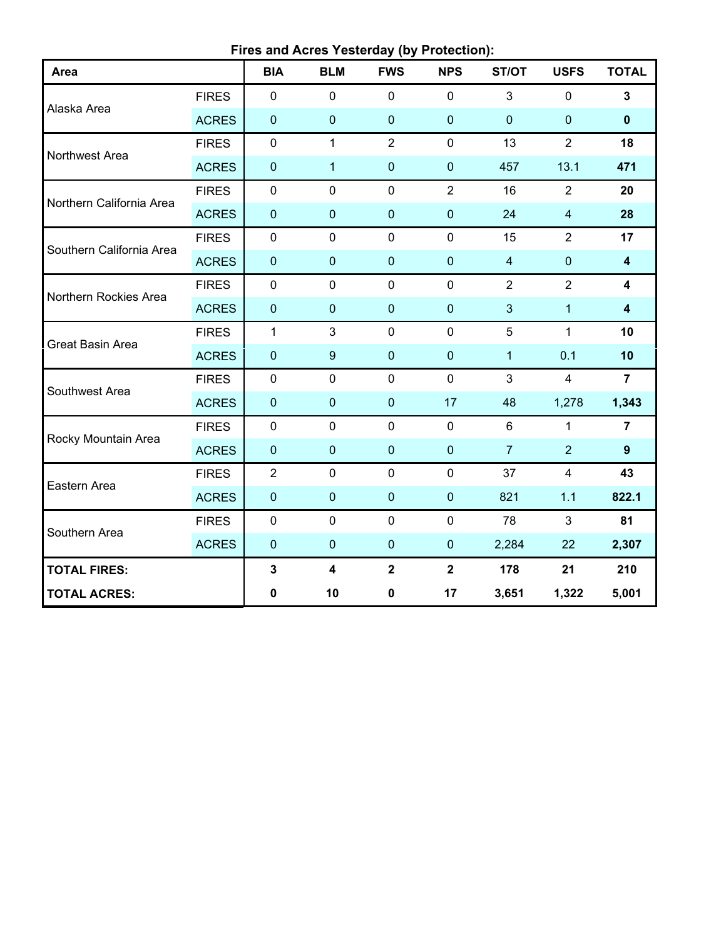**Fires and Acres Yesterday (by Protection):**

| Area                     |              | <b>BIA</b>     | <b>BLM</b>              | <b>FWS</b>              | <b>NPS</b>     | ST/OT          | <b>USFS</b>             | <b>TOTAL</b>            |
|--------------------------|--------------|----------------|-------------------------|-------------------------|----------------|----------------|-------------------------|-------------------------|
|                          | <b>FIRES</b> | $\pmb{0}$      | $\mathbf 0$             | $\mathbf 0$             | $\mathbf 0$    | $\mathbf{3}$   | $\mathbf 0$             | 3                       |
| Alaska Area              | <b>ACRES</b> | $\pmb{0}$      | $\mathbf 0$             | $\mathbf 0$             | $\overline{0}$ | $\mathbf 0$    | $\mathbf 0$             | $\mathbf 0$             |
|                          | <b>FIRES</b> | $\mathbf 0$    | $\mathbf{1}$            | $\overline{2}$          | $\mathbf 0$    | 13             | $\overline{2}$          | 18                      |
| Northwest Area           | <b>ACRES</b> | $\pmb{0}$      | $\mathbf{1}$            | $\pmb{0}$               | $\overline{0}$ | 457            | 13.1                    | 471                     |
| Northern California Area | <b>FIRES</b> | $\pmb{0}$      | $\mathbf 0$             | $\mathbf 0$             | $\overline{2}$ | 16             | $\overline{2}$          | 20                      |
|                          | <b>ACRES</b> | $\pmb{0}$      | $\mathbf 0$             | $\pmb{0}$               | $\overline{0}$ | 24             | $\overline{\mathbf{4}}$ | 28                      |
| Southern California Area | <b>FIRES</b> | $\mathbf 0$    | $\mathbf 0$             | $\mathbf 0$             | $\mathbf 0$    | 15             | $\overline{2}$          | 17                      |
|                          | <b>ACRES</b> | $\pmb{0}$      | $\pmb{0}$               | $\pmb{0}$               | $\pmb{0}$      | $\overline{4}$ | $\pmb{0}$               | $\overline{\mathbf{4}}$ |
| Northern Rockies Area    | <b>FIRES</b> | $\pmb{0}$      | $\mathbf 0$             | $\mathbf 0$             | $\mathbf 0$    | $\overline{2}$ | $\overline{2}$          | 4                       |
|                          | <b>ACRES</b> | $\pmb{0}$      | $\mathbf{0}$            | $\mathbf 0$             | $\mathbf{0}$   | 3              | $\mathbf{1}$            | $\overline{\mathbf{4}}$ |
| Great Basin Area         | <b>FIRES</b> | $\mathbf{1}$   | 3                       | $\mathbf 0$             | $\mathbf 0$    | 5              | $\mathbf{1}$            | 10                      |
|                          | <b>ACRES</b> | $\pmb{0}$      | $\boldsymbol{9}$        | $\mathbf 0$             | $\mathbf 0$    | 1              | 0.1                     | 10                      |
| Southwest Area           | <b>FIRES</b> | $\mathbf 0$    | $\mathbf 0$             | $\mathbf 0$             | $\mathbf 0$    | $\mathbf{3}$   | $\overline{4}$          | $\overline{7}$          |
|                          | <b>ACRES</b> | $\pmb{0}$      | $\pmb{0}$               | $\pmb{0}$               | 17             | 48             | 1,278                   | 1,343                   |
| Rocky Mountain Area      | <b>FIRES</b> | 0              | $\mathbf 0$             | $\mathbf 0$             | $\mathbf 0$    | 6              | $\mathbf{1}$            | $\overline{7}$          |
|                          | <b>ACRES</b> | $\pmb{0}$      | $\pmb{0}$               | $\pmb{0}$               | $\pmb{0}$      | $\overline{7}$ | $\overline{2}$          | $\overline{9}$          |
| Eastern Area             | <b>FIRES</b> | $\overline{2}$ | $\pmb{0}$               | $\pmb{0}$               | $\mathbf 0$    | 37             | $\overline{4}$          | 43                      |
|                          | <b>ACRES</b> | $\pmb{0}$      | $\mathbf 0$             | $\pmb{0}$               | $\overline{0}$ | 821            | $1.1$                   | 822.1                   |
| Southern Area            | <b>FIRES</b> | $\mathbf 0$    | $\mathbf 0$             | $\mathbf 0$             | $\mathbf 0$    | 78             | 3                       | 81                      |
|                          | <b>ACRES</b> | $\pmb{0}$      | $\mathbf 0$             | $\pmb{0}$               | $\mathbf 0$    | 2,284          | 22                      | 2,307                   |
| <b>TOTAL FIRES:</b>      |              | $\mathbf{3}$   | $\overline{\mathbf{4}}$ | $\overline{\mathbf{2}}$ | $\mathbf{2}$   | 178            | 21                      | 210                     |
| <b>TOTAL ACRES:</b>      |              | $\pmb{0}$      | 10                      | $\mathbf 0$             | 17             | 3,651          | 1,322                   | 5,001                   |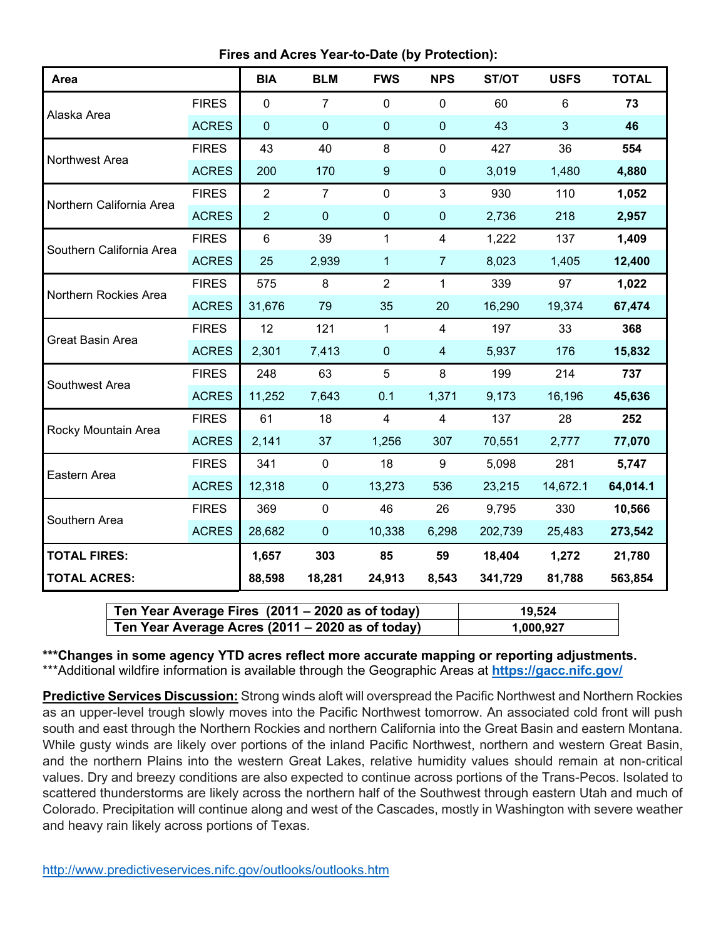**Fires and Acres Year-to-Date (by Protection):**

| Area                     |              | <b>BIA</b>       | <b>BLM</b>     | <b>FWS</b>       | <b>NPS</b>     | ST/OT   | <b>USFS</b> | <b>TOTAL</b> |
|--------------------------|--------------|------------------|----------------|------------------|----------------|---------|-------------|--------------|
| Alaska Area              | <b>FIRES</b> | $\mathbf 0$      | $\overline{7}$ | 0                | $\mathbf 0$    | 60      | 6           | 73           |
|                          | <b>ACRES</b> | $\boldsymbol{0}$ | $\mathbf 0$    | $\pmb{0}$        | $\pmb{0}$      | 43      | 3           | 46           |
| Northwest Area           | <b>FIRES</b> | 43               | 40             | 8                | $\mathbf 0$    | 427     | 36          | 554          |
|                          | <b>ACRES</b> | 200              | 170            | $\boldsymbol{9}$ | $\pmb{0}$      | 3,019   | 1,480       | 4,880        |
| Northern California Area | <b>FIRES</b> | $\overline{2}$   | $\overline{7}$ | $\overline{0}$   | $\mathbf{3}$   | 930     | 110         | 1,052        |
|                          | <b>ACRES</b> | $\overline{2}$   | $\overline{0}$ | $\mathbf 0$      | $\mathbf 0$    | 2,736   | 218         | 2,957        |
| Southern California Area | <b>FIRES</b> | $6\phantom{1}$   | 39             | $\mathbf 1$      | 4              | 1,222   | 137         | 1,409        |
|                          | <b>ACRES</b> | 25               | 2,939          | 1                | $\overline{7}$ | 8,023   | 1,405       | 12,400       |
| Northern Rockies Area    | <b>FIRES</b> | 575              | 8              | $\overline{2}$   | $\mathbf{1}$   | 339     | 97          | 1,022        |
|                          | <b>ACRES</b> | 31,676           | 79             | 35               | 20             | 16,290  | 19,374      | 67,474       |
| Great Basin Area         | <b>FIRES</b> | 12               | 121            | $\mathbf{1}$     | $\overline{4}$ | 197     | 33          | 368          |
|                          | <b>ACRES</b> | 2,301            | 7,413          | $\mathbf 0$      | $\overline{4}$ | 5,937   | 176         | 15,832       |
| Southwest Area           | <b>FIRES</b> | 248              | 63             | 5                | 8              | 199     | 214         | 737          |
|                          | <b>ACRES</b> | 11,252           | 7,643          | 0.1              | 1,371          | 9,173   | 16,196      | 45,636       |
| Rocky Mountain Area      | <b>FIRES</b> | 61               | 18             | $\overline{4}$   | $\overline{4}$ | 137     | 28          | 252          |
|                          | <b>ACRES</b> | 2,141            | 37             | 1,256            | 307            | 70,551  | 2,777       | 77,070       |
| Eastern Area             | <b>FIRES</b> | 341              | $\mathbf 0$    | 18               | 9              | 5,098   | 281         | 5,747        |
|                          | <b>ACRES</b> | 12,318           | $\pmb{0}$      | 13,273           | 536            | 23,215  | 14,672.1    | 64,014.1     |
| Southern Area            | <b>FIRES</b> | 369              | $\pmb{0}$      | 46               | 26             | 9,795   | 330         | 10,566       |
|                          | <b>ACRES</b> | 28,682           | $\overline{0}$ | 10,338           | 6,298          | 202,739 | 25,483      | 273,542      |
| <b>TOTAL FIRES:</b>      |              | 1,657            | 303            | 85               | 59             | 18,404  | 1,272       | 21,780       |
| <b>TOTAL ACRES:</b>      |              | 88,598           | 18,281         | 24,913           | 8,543          | 341,729 | 81,788      | 563,854      |

| Ten Year Average Fires (2011 – 2020 as of today) | 19,524    |
|--------------------------------------------------|-----------|
| Ten Year Average Acres (2011 – 2020 as of today) | 1,000,927 |

**\*\*\*Changes in some agency YTD acres reflect more accurate mapping or reporting adjustments.** \*\*\*Additional wildfire information is available through the Geographic Areas at **<https://gacc.nifc.gov/>**

**Predictive Services Discussion:** Strong winds aloft will overspread the Pacific Northwest and Northern Rockies as an upper-level trough slowly moves into the Pacific Northwest tomorrow. An associated cold front will push south and east through the Northern Rockies and northern California into the Great Basin and eastern Montana. While gusty winds are likely over portions of the inland Pacific Northwest, northern and western Great Basin, and the northern Plains into the western Great Lakes, relative humidity values should remain at non-critical values. Dry and breezy conditions are also expected to continue across portions of the Trans-Pecos. Isolated to scattered thunderstorms are likely across the northern half of the Southwest through eastern Utah and much of Colorado. Precipitation will continue along and west of the Cascades, mostly in Washington with severe weather and heavy rain likely across portions of Texas.